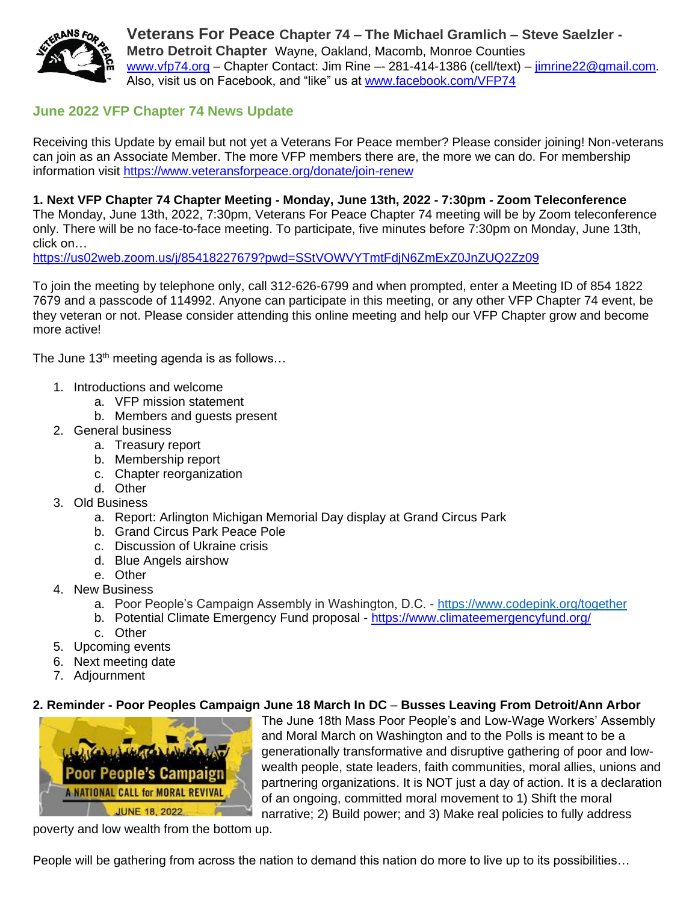

**Veterans For Peace Chapter 74 – The Michael Gramlich – Steve Saelzler - Metro Detroit Chapter** Wayne, Oakland, Macomb, Monroe Counties [www.vfp74.org](http://www.vfp74.org/) – Chapter Contact: Jim Rine –- 281-414-1386 (cell/text) – [jimrine22@gmail.com.](mailto:jimrine22@gmail.com) Also, visit us on Facebook, and "like" us at [www.facebook.com/VFP74](http://www.facebook.com/VFP74)

# **June 2022 VFP Chapter 74 News Update**

Receiving this Update by email but not yet a Veterans For Peace member? Please consider joining! Non-veterans can join as an Associate Member. The more VFP members there are, the more we can do. For membership information visit<https://www.veteransforpeace.org/donate/join-renew>

**1. Next VFP Chapter 74 Chapter Meeting - Monday, June 13th, 2022 - 7:30pm - Zoom Teleconference**  The Monday, June 13th, 2022, 7:30pm, Veterans For Peace Chapter 74 meeting will be by Zoom teleconference only. There will be no face-to-face meeting. To participate, five minutes before 7:30pm on Monday, June 13th, click on…

<https://us02web.zoom.us/j/85418227679?pwd=SStVOWVYTmtFdjN6ZmExZ0JnZUQ2Zz09>

To join the meeting by telephone only, call 312-626-6799 and when prompted, enter a Meeting ID of 854 1822 7679 and a passcode of 114992. Anyone can participate in this meeting, or any other VFP Chapter 74 event, be they veteran or not. Please consider attending this online meeting and help our VFP Chapter grow and become more active!

The June  $13<sup>th</sup>$  meeting agenda is as follows...

- 1. Introductions and welcome
	- a. VFP mission statement
	- b. Members and guests present
- 2. General business
	- a. Treasury report
	- b. Membership report
	- c. Chapter reorganization
	- d. Other
- 3. Old Business
	- a. Report: Arlington Michigan Memorial Day display at Grand Circus Park
	- b. Grand Circus Park Peace Pole
	- c. Discussion of Ukraine crisis
	- d. Blue Angels airshow
	- e. Other
- 4. New Business
	- a. Poor People's Campaign Assembly in Washington, D.C. <https://www.codepink.org/together>
	- b. Potential Climate Emergency Fund proposal <https://www.climateemergencyfund.org/>
	- c. Other
- 5. Upcoming events
- 6. Next meeting date
- 7. Adjournment

#### **2. Reminder - Poor Peoples Campaign June 18 March In DC** – **Busses Leaving From Detroit/Ann Arbor**



The June 18th Mass Poor People's and Low-Wage Workers' Assembly and Moral March on Washington and to the Polls is meant to be a generationally transformative and disruptive gathering of poor and lowwealth people, state leaders, faith communities, moral allies, unions and partnering organizations. It is NOT just a day of action. It is a declaration of an ongoing, committed moral movement to 1) Shift the moral narrative; 2) Build power; and 3) Make real policies to fully address

poverty and low wealth from the bottom up.

People will be gathering from across the nation to demand this nation do more to live up to its possibilities…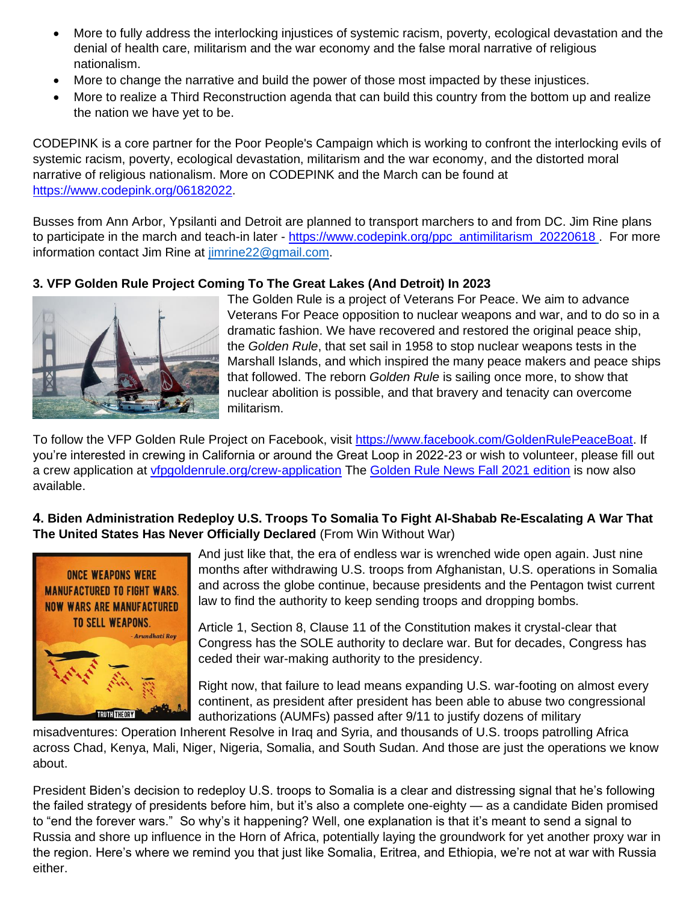- More to fully address the interlocking injustices of systemic racism, poverty, ecological devastation and the denial of health care, militarism and the war economy and the false moral narrative of religious nationalism.
- More to change the narrative and build the power of those most impacted by these injustices.
- More to realize a Third Reconstruction agenda that can build this country from the bottom up and realize the nation we have yet to be.

CODEPINK is a core partner for the Poor People's Campaign which is working to confront the interlocking evils of systemic racism, poverty, ecological devastation, militarism and the war economy, and the distorted moral narrative of religious nationalism. More on CODEPINK and the March can be found at [https://www.codepink.org/06182022.](https://www.codepink.org/06182022)

Busses from Ann Arbor, Ypsilanti and Detroit are planned to transport marchers to and from DC. Jim Rine plans to participate in the march and teach-in later - [https://www.codepink.org/ppc\\_antimilitarism\\_20220618](https://www.codepink.org/ppc_antimilitarism_20220618) . For more information contact Jim Rine at [jimrine22@gmail.com.](mailto:jimrine22@gmail.com)

# **3. VFP Golden Rule Project Coming To The Great Lakes (And Detroit) In 2023**



The Golden Rule is a project of Veterans For Peace. We aim to advance Veterans For Peace opposition to nuclear weapons and war, and to do so in a dramatic fashion. We have recovered and restored the original peace ship, the *Golden Rule*, that set sail in 1958 to stop nuclear weapons tests in the Marshall Islands, and which inspired the many peace makers and peace ships that followed. The reborn *Golden Rule* is sailing once more, to show that nuclear abolition is possible, and that bravery and tenacity can overcome militarism.

To follow the VFP Golden Rule Project on Facebook, visit [https://www.facebook.com/GoldenRulePeaceBoat.](https://www.facebook.com/GoldenRulePeaceBoat) If you're interested in crewing in California or around the Great Loop in 2022-23 or wish to volunteer, please fill out a crew application at [vfpgoldenrule.org/crew-application](http://www.vfpgoldenrule.org/crew-application) The [Golden Rule News Fall 2021 edition](http://www.vfpgoldenruleproject.org/wp-content/uploads/2021/11/Golden-Rule-News-Fall-2021-4-page.pdf) is now also available.

# **4. Biden Administration Redeploy U.S. Troops To Somalia To Fight Al-Shabab Re-Escalating A War That The United States Has Never Officially Declared** (From Win Without War)



And just like that, the era of endless war is wrenched wide open again. Just nine months after withdrawing U.S. troops from Afghanistan, U.S. operations in Somalia and across the globe continue, because presidents and the Pentagon twist current law to find the authority to keep sending troops and dropping bombs.

Article 1, Section 8, Clause 11 of the Constitution makes it crystal-clear that Congress has the SOLE authority to declare war. But for decades, Congress has ceded their war-making authority to the presidency.

Right now, that failure to lead means expanding U.S. war-footing on almost every continent, as president after president has been able to abuse two congressional authorizations (AUMFs) passed after 9/11 to justify dozens of military

misadventures: Operation Inherent Resolve in Iraq and Syria, and thousands of U.S. troops patrolling Africa across Chad, Kenya, Mali, Niger, Nigeria, Somalia, and South Sudan. And those are just the operations we know about.

President Biden's decision to redeploy U.S. troops to Somalia is a clear and distressing signal that he's following the failed strategy of presidents before him, but it's also a complete one-eighty — as a candidate Biden promised to "end the forever wars." So why's it happening? Well, one explanation is that it's meant to send a signal to Russia and shore up influence in the Horn of Africa, potentially laying the groundwork for yet another proxy war in the region. Here's where we remind you that just like Somalia, Eritrea, and Ethiopia, we're not at war with Russia either.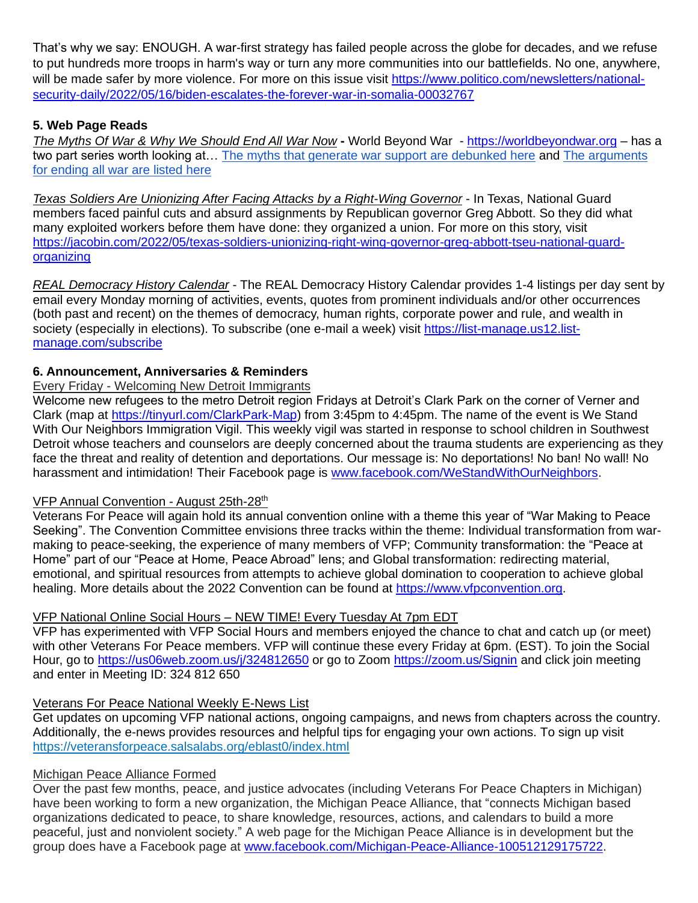That's why we say: ENOUGH. A war-first strategy has failed people across the globe for decades, and we refuse to put hundreds more troops in harm's way or turn any more communities into our battlefields. No one, anywhere, will be made safer by more violence. For more on this issue visit [https://www.politico.com/newsletters/national](https://www.politico.com/newsletters/national-security-daily/2022/05/16/biden-escalates-the-forever-war-in-somalia-00032767)[security-daily/2022/05/16/biden-escalates-the-forever-war-in-somalia-00032767](https://www.politico.com/newsletters/national-security-daily/2022/05/16/biden-escalates-the-forever-war-in-somalia-00032767)

## **5. Web Page Reads**

*The Myths Of War & Why We Should End All War Now* **-** World Beyond War - [https://worldbeyondwar.org](https://worldbeyondwar.org/) – has a two part series worth looking at… The myths [that generate war support are debunked here](https://click.actionnetwork.org/ss/c/atcYNHk4Eh2YdGnwBh-YDG7XrsA8qChq4YmTGY3gl8emwef0i1fcD-sb28DWADJc04071eiW6_0VAcH-iHel0AaV2TP8w4PrxLUh2ZqokPrv69NeiIj75JNuf7oGFyTyu3ZVghYZnrilyKgwcdeqyZ01iDhE0K48rf38-byKpJjyUFoQEqXjopgQ8K2pr3-CWh8WxEtg3vsr_W-OgkCTJQaJlZbtTGsN0WPxXIcSMp9rVp__S8o2tpMVNpwdD4ruffdQonSkjJDgU1yijqd9SdscxTSvAUGVEP7bklGM1c_1T5KSIDfkFasCg_g-2rdf/3mo/Xy2qTxjcQZmfxRqRGaR3dw/h0/6v8gCo87PMbdQ1lzkL1-GxPfaiLmCYR-uAgGWqxAME0) and The [arguments](https://click.actionnetwork.org/ss/c/atcYNHk4Eh2YdGnwBh-YDG7XrsA8qChq4YmTGY3gl8dYuf10Higj8TiBL-jCHAyWi4EcdrEZS1MHWfC3ltMkTuFOUIpD8eZAicerIbzBtsEMKiMTPRyTCdnh8SZyQBK5LAD1RAVBr7fchDxEksJkDe-hD0JbIagPljZBwReHIPuxQFGyoZLHe3dHzttlCzpk18-zSWayp3SkEk_Erb6BkGyrkM2hF8D5AgLvdbDagicg-z_TEpBFf2iylSHjLZaY2C1tLVEpi-AHLIdVFN0rAjeuEhzTHveXgeeFsLlYwoJPm0b30E9oXPUALG5qRrm4/3mo/Xy2qTxjcQZmfxRqRGaR3dw/h1/yxC58Bac-kGjxSIICNtaEhNOH7p-2cpAdAXN2qwCe-8)  [for ending all war are listed here](https://click.actionnetwork.org/ss/c/atcYNHk4Eh2YdGnwBh-YDG7XrsA8qChq4YmTGY3gl8dYuf10Higj8TiBL-jCHAyWi4EcdrEZS1MHWfC3ltMkTuFOUIpD8eZAicerIbzBtsEMKiMTPRyTCdnh8SZyQBK5LAD1RAVBr7fchDxEksJkDe-hD0JbIagPljZBwReHIPuxQFGyoZLHe3dHzttlCzpk18-zSWayp3SkEk_Erb6BkGyrkM2hF8D5AgLvdbDagicg-z_TEpBFf2iylSHjLZaY2C1tLVEpi-AHLIdVFN0rAjeuEhzTHveXgeeFsLlYwoJPm0b30E9oXPUALG5qRrm4/3mo/Xy2qTxjcQZmfxRqRGaR3dw/h1/yxC58Bac-kGjxSIICNtaEhNOH7p-2cpAdAXN2qwCe-8)

*Texas Soldiers Are Unionizing After Facing Attacks by a Right-Wing Governor* - In Texas, National Guard members faced painful cuts and absurd assignments by Republican governor Greg Abbott. So they did what many exploited workers before them have done: they organized a union. For more on this story, visit [https://jacobin.com/2022/05/texas-soldiers-unionizing-right-wing-governor-greg-abbott-tseu-national-guard](https://jacobin.com/2022/05/texas-soldiers-unionizing-right-wing-governor-greg-abbott-tseu-national-guard-organizing)[organizing](https://jacobin.com/2022/05/texas-soldiers-unionizing-right-wing-governor-greg-abbott-tseu-national-guard-organizing)

*REAL Democracy History Calendar* - The REAL Democracy History Calendar provides 1-4 listings per day sent by email every Monday morning of activities, events, quotes from prominent individuals and/or other occurrences (both past and recent) on the themes of democracy, human rights, corporate power and rule, and wealth in society (especially in elections). To subscribe (one e-mail a week) visit [https://list-manage.us12.list](https://list-manage.us12.list-manage.com/subscribe)[manage.com/subscribe](https://list-manage.us12.list-manage.com/subscribe)

### **6. Announcement, Anniversaries & Reminders**

#### Every Friday - Welcoming New Detroit Immigrants

Welcome new refugees to the metro Detroit region Fridays at Detroit's Clark Park on the corner of Verner and Clark (map at [https://tinyurl.com/ClarkPark-Map\)](https://tinyurl.com/ClarkPark-Map) from 3:45pm to 4:45pm. The name of the event is We Stand With Our Neighbors Immigration Vigil. This weekly vigil was started in response to school children in Southwest Detroit whose teachers and counselors are deeply concerned about the trauma students are experiencing as they face the threat and reality of detention and deportations. Our message is: No deportations! No ban! No wall! No harassment and intimidation! Their Facebook page is [www.facebook.com/WeStandWithOurNeighbors.](http://www.facebook.com/WeStandWithOurNeighbors)

### VFP Annual Convention - August 25th-28th

Veterans For Peace will again hold its annual convention online with a theme this year of "War Making to Peace Seeking". The Convention Committee envisions three tracks within the theme: Individual transformation from warmaking to peace-seeking, the experience of many members of VFP; Community transformation: the "Peace at Home" part of our "Peace at Home, Peace Abroad" lens; and Global transformation: redirecting material, emotional, and spiritual resources from attempts to achieve global domination to cooperation to achieve global healing. More details about the 2022 Convention can be found at [https://www.vfpconvention.org.](https://www.vfpconvention.org/)

### VFP National Online Social Hours – NEW TIME! Every Tuesday At 7pm EDT

VFP has experimented with VFP Social Hours and members enjoyed the chance to chat and catch up (or meet) with other Veterans For Peace members. VFP will continue these every Friday at 6pm. (EST). To join the Social Hour, go to<https://us06web.zoom.us/j/324812650> or go to Zoom<https://zoom.us/Signin> and click join meeting and enter in Meeting ID: 324 812 650

### Veterans For Peace National Weekly E-News List

Get updates on upcoming VFP national actions, ongoing campaigns, and news from chapters across the country. Additionally, the e-news provides resources and helpful tips for engaging your own actions. To sign up visit <https://veteransforpeace.salsalabs.org/eblast0/index.html>

### Michigan Peace Alliance Formed

Over the past few months, peace, and justice advocates (including Veterans For Peace Chapters in Michigan) have been working to form a new organization, the Michigan Peace Alliance, that "connects Michigan based organizations dedicated to peace, to share knowledge, resources, actions, and calendars to build a more peaceful, just and nonviolent society." A web page for the Michigan Peace Alliance is in development but the group does have a Facebook page at [www.facebook.com/Michigan-Peace-Alliance-100512129175722.](http://www.facebook.com/Michigan-Peace-Alliance-100512129175722)